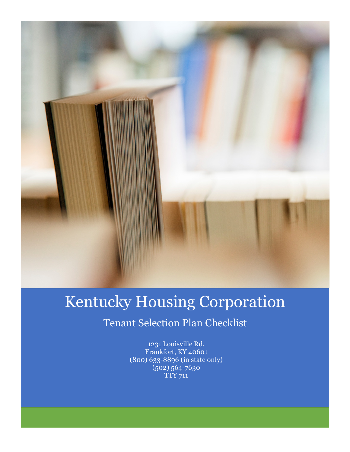

# Kentucky Housing Corporation

## Tenant Selection Plan Checklist

1231 Louisville Rd. Frankfort, KY 40601 (800) 633-8896 (in state only) (502) 564-7630 TTY 711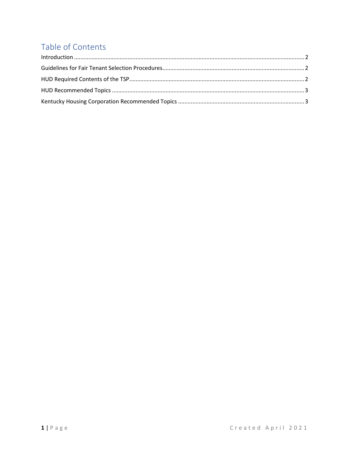### Table of Contents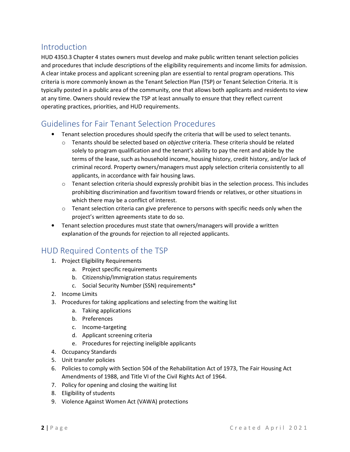#### Introduction

HUD 4350.3 Chapter 4 states owners must develop and make public written tenant selection policies and procedures that include descriptions of the eligibility requirements and income limits for admission. A clear intake process and applicant screening plan are essential to rental program operations. This criteria is more commonly known as the Tenant Selection Plan (TSP) or Tenant Selection Criteria. It is typically posted in a public area of the community, one that allows both applicants and residents to view at any time. Owners should review the TSP at least annually to ensure that they reflect current operating practices, priorities, and HUD requirements.

#### Guidelines for Fair Tenant Selection Procedures

- Tenant selection procedures should specify the criteria that will be used to select tenants.
	- $\circ$  Tenants should be selected based on *objective* criteria. These criteria should be related solely to program qualification and the tenant's ability to pay the rent and abide by the terms of the lease, such as household income, housing history, credit history, and/or lack of criminal record. Property owners/managers must apply selection criteria consistently to all applicants, in accordance with fair housing laws.
	- $\circ$  Tenant selection criteria should expressly prohibit bias in the selection process. This includes prohibiting discrimination and favoritism toward friends or relatives, or other situations in which there may be a conflict of interest.
	- $\circ$  Tenant selection criteria can give preference to persons with specific needs only when the project's written agreements state to do so.
- Tenant selection procedures must state that owners/managers will provide a written explanation of the grounds for rejection to all rejected applicants.

#### HUD Required Contents of the TSP

- 1. Project Eligibility Requirements
	- a. Project specific requirements
	- b. Citizenship/Immigration status requirements
	- c. Social Security Number (SSN) requirements\*
- 2. Income Limits
- 3. Procedures for taking applications and selecting from the waiting list
	- a. Taking applications
	- b. Preferences
	- c. Income-targeting
	- d. Applicant screening criteria
	- e. Procedures for rejecting ineligible applicants
- 4. Occupancy Standards
- 5. Unit transfer policies
- 6. Policies to comply with Section 504 of the Rehabilitation Act of 1973, The Fair Housing Act Amendments of 1988, and Title VI of the Civil Rights Act of 1964.
- 7. Policy for opening and closing the waiting list
- 8. Eligibility of students
- 9. Violence Against Women Act (VAWA) protections